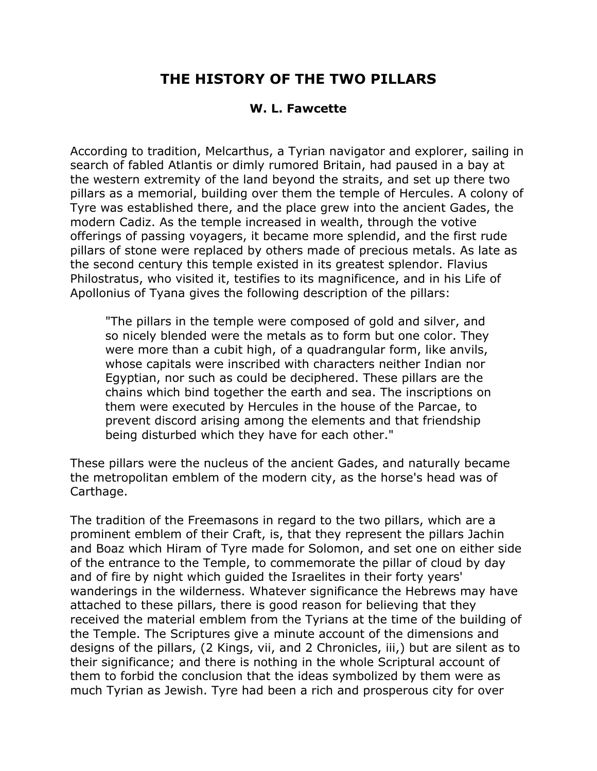## **THE HISTORY OF THE TWO PILLARS**

## **W. L. Fawcette**

According to tradition, Melcarthus, a Tyrian navigator and explorer, sailing in search of fabled Atlantis or dimly rumored Britain, had paused in a bay at the western extremity of the land beyond the straits, and set up there two pillars as a memorial, building over them the temple of Hercules. A colony of Tyre was established there, and the place grew into the ancient Gades, the modern Cadiz. As the temple increased in wealth, through the votive offerings of passing voyagers, it became more splendid, and the first rude pillars of stone were replaced by others made of precious metals. As late as the second century this temple existed in its greatest splendor. Flavius Philostratus, who visited it, testifies to its magnificence, and in his Life of Apollonius of Tyana gives the following description of the pillars:

"The pillars in the temple were composed of gold and silver, and so nicely blended were the metals as to form but one color. They were more than a cubit high, of a quadrangular form, like anvils, whose capitals were inscribed with characters neither Indian nor Egyptian, nor such as could be deciphered. These pillars are the chains which bind together the earth and sea. The inscriptions on them were executed by Hercules in the house of the Parcae, to prevent discord arising among the elements and that friendship being disturbed which they have for each other."

These pillars were the nucleus of the ancient Gades, and naturally became the metropolitan emblem of the modern city, as the horse's head was of Carthage.

The tradition of the Freemasons in regard to the two pillars, which are a prominent emblem of their Craft, is, that they represent the pillars Jachin and Boaz which Hiram of Tyre made for Solomon, and set one on either side of the entrance to the Temple, to commemorate the pillar of cloud by day and of fire by night which guided the Israelites in their forty years' wanderings in the wilderness. Whatever significance the Hebrews may have attached to these pillars, there is good reason for believing that they received the material emblem from the Tyrians at the time of the building of the Temple. The Scriptures give a minute account of the dimensions and designs of the pillars, (2 Kings, vii, and 2 Chronicles, iii,) but are silent as to their significance; and there is nothing in the whole Scriptural account of them to forbid the conclusion that the ideas symbolized by them were as much Tyrian as Jewish. Tyre had been a rich and prosperous city for over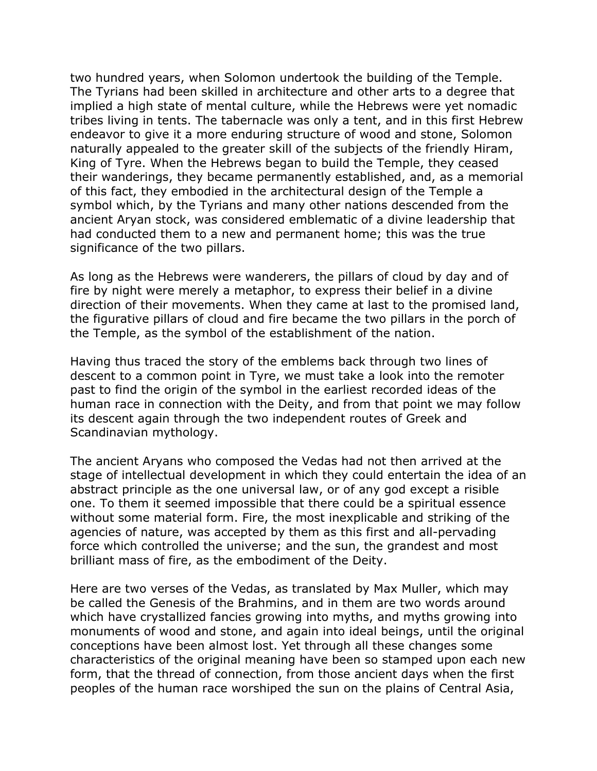two hundred years, when Solomon undertook the building of the Temple. The Tyrians had been skilled in architecture and other arts to a degree that implied a high state of mental culture, while the Hebrews were yet nomadic tribes living in tents. The tabernacle was only a tent, and in this first Hebrew endeavor to give it a more enduring structure of wood and stone, Solomon naturally appealed to the greater skill of the subjects of the friendly Hiram, King of Tyre. When the Hebrews began to build the Temple, they ceased their wanderings, they became permanently established, and, as a memorial of this fact, they embodied in the architectural design of the Temple a symbol which, by the Tyrians and many other nations descended from the ancient Aryan stock, was considered emblematic of a divine leadership that had conducted them to a new and permanent home; this was the true significance of the two pillars.

As long as the Hebrews were wanderers, the pillars of cloud by day and of fire by night were merely a metaphor, to express their belief in a divine direction of their movements. When they came at last to the promised land, the figurative pillars of cloud and fire became the two pillars in the porch of the Temple, as the symbol of the establishment of the nation.

Having thus traced the story of the emblems back through two lines of descent to a common point in Tyre, we must take a look into the remoter past to find the origin of the symbol in the earliest recorded ideas of the human race in connection with the Deity, and from that point we may follow its descent again through the two independent routes of Greek and Scandinavian mythology.

The ancient Aryans who composed the Vedas had not then arrived at the stage of intellectual development in which they could entertain the idea of an abstract principle as the one universal law, or of any god except a risible one. To them it seemed impossible that there could be a spiritual essence without some material form. Fire, the most inexplicable and striking of the agencies of nature, was accepted by them as this first and all-pervading force which controlled the universe; and the sun, the grandest and most brilliant mass of fire, as the embodiment of the Deity.

Here are two verses of the Vedas, as translated by Max Muller, which may be called the Genesis of the Brahmins, and in them are two words around which have crystallized fancies growing into myths, and myths growing into monuments of wood and stone, and again into ideal beings, until the original conceptions have been almost lost. Yet through all these changes some characteristics of the original meaning have been so stamped upon each new form, that the thread of connection, from those ancient days when the first peoples of the human race worshiped the sun on the plains of Central Asia,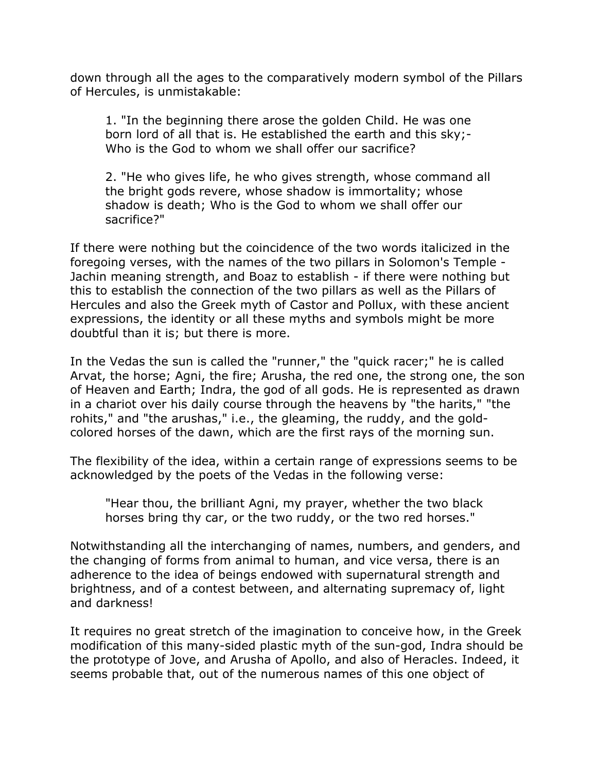down through all the ages to the comparatively modern symbol of the Pillars of Hercules, is unmistakable:

1. "In the beginning there arose the golden Child. He was one born lord of all that is. He established the earth and this sky;- Who is the God to whom we shall offer our sacrifice?

2. "He who gives life, he who gives strength, whose command all the bright gods revere, whose shadow is immortality; whose shadow is death; Who is the God to whom we shall offer our sacrifice?"

If there were nothing but the coincidence of the two words italicized in the foregoing verses, with the names of the two pillars in Solomon's Temple - Jachin meaning strength, and Boaz to establish - if there were nothing but this to establish the connection of the two pillars as well as the Pillars of Hercules and also the Greek myth of Castor and Pollux, with these ancient expressions, the identity or all these myths and symbols might be more doubtful than it is; but there is more.

In the Vedas the sun is called the "runner," the "quick racer;" he is called Arvat, the horse; Agni, the fire; Arusha, the red one, the strong one, the son of Heaven and Earth; Indra, the god of all gods. He is represented as drawn in a chariot over his daily course through the heavens by "the harits," "the rohits," and "the arushas," i.e., the gleaming, the ruddy, and the goldcolored horses of the dawn, which are the first rays of the morning sun.

The flexibility of the idea, within a certain range of expressions seems to be acknowledged by the poets of the Vedas in the following verse:

"Hear thou, the brilliant Agni, my prayer, whether the two black horses bring thy car, or the two ruddy, or the two red horses."

Notwithstanding all the interchanging of names, numbers, and genders, and the changing of forms from animal to human, and vice versa, there is an adherence to the idea of beings endowed with supernatural strength and brightness, and of a contest between, and alternating supremacy of, light and darkness!

It requires no great stretch of the imagination to conceive how, in the Greek modification of this many-sided plastic myth of the sun-god, Indra should be the prototype of Jove, and Arusha of Apollo, and also of Heracles. Indeed, it seems probable that, out of the numerous names of this one object of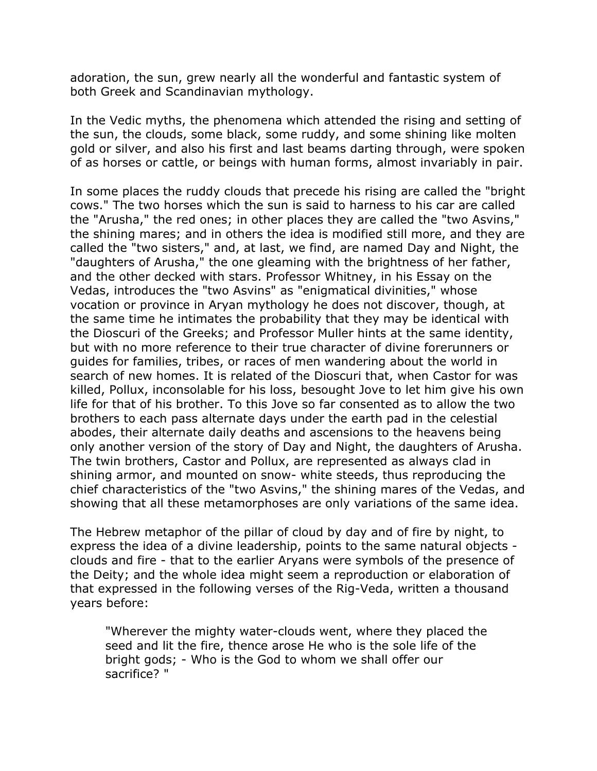adoration, the sun, grew nearly all the wonderful and fantastic system of both Greek and Scandinavian mythology.

In the Vedic myths, the phenomena which attended the rising and setting of the sun, the clouds, some black, some ruddy, and some shining like molten gold or silver, and also his first and last beams darting through, were spoken of as horses or cattle, or beings with human forms, almost invariably in pair.

In some places the ruddy clouds that precede his rising are called the "bright cows." The two horses which the sun is said to harness to his car are called the "Arusha," the red ones; in other places they are called the "two Asvins," the shining mares; and in others the idea is modified still more, and they are called the "two sisters," and, at last, we find, are named Day and Night, the "daughters of Arusha," the one gleaming with the brightness of her father, and the other decked with stars. Professor Whitney, in his Essay on the Vedas, introduces the "two Asvins" as "enigmatical divinities," whose vocation or province in Aryan mythology he does not discover, though, at the same time he intimates the probability that they may be identical with the Dioscuri of the Greeks; and Professor Muller hints at the same identity, but with no more reference to their true character of divine forerunners or guides for families, tribes, or races of men wandering about the world in search of new homes. It is related of the Dioscuri that, when Castor for was killed, Pollux, inconsolable for his loss, besought Jove to let him give his own life for that of his brother. To this Jove so far consented as to allow the two brothers to each pass alternate days under the earth pad in the celestial abodes, their alternate daily deaths and ascensions to the heavens being only another version of the story of Day and Night, the daughters of Arusha. The twin brothers, Castor and Pollux, are represented as always clad in shining armor, and mounted on snow- white steeds, thus reproducing the chief characteristics of the "two Asvins," the shining mares of the Vedas, and showing that all these metamorphoses are only variations of the same idea.

The Hebrew metaphor of the pillar of cloud by day and of fire by night, to express the idea of a divine leadership, points to the same natural objects clouds and fire - that to the earlier Aryans were symbols of the presence of the Deity; and the whole idea might seem a reproduction or elaboration of that expressed in the following verses of the Rig-Veda, written a thousand years before:

"Wherever the mighty water-clouds went, where they placed the seed and lit the fire, thence arose He who is the sole life of the bright gods; - Who is the God to whom we shall offer our sacrifice? "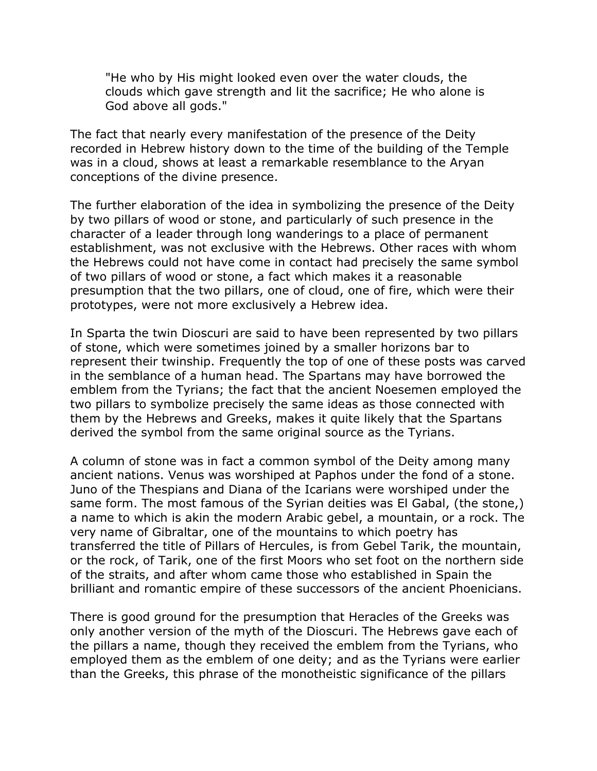"He who by His might looked even over the water clouds, the clouds which gave strength and lit the sacrifice; He who alone is God above all gods."

The fact that nearly every manifestation of the presence of the Deity recorded in Hebrew history down to the time of the building of the Temple was in a cloud, shows at least a remarkable resemblance to the Aryan conceptions of the divine presence.

The further elaboration of the idea in symbolizing the presence of the Deity by two pillars of wood or stone, and particularly of such presence in the character of a leader through long wanderings to a place of permanent establishment, was not exclusive with the Hebrews. Other races with whom the Hebrews could not have come in contact had precisely the same symbol of two pillars of wood or stone, a fact which makes it a reasonable presumption that the two pillars, one of cloud, one of fire, which were their prototypes, were not more exclusively a Hebrew idea.

In Sparta the twin Dioscuri are said to have been represented by two pillars of stone, which were sometimes joined by a smaller horizons bar to represent their twinship. Frequently the top of one of these posts was carved in the semblance of a human head. The Spartans may have borrowed the emblem from the Tyrians; the fact that the ancient Noesemen employed the two pillars to symbolize precisely the same ideas as those connected with them by the Hebrews and Greeks, makes it quite likely that the Spartans derived the symbol from the same original source as the Tyrians.

A column of stone was in fact a common symbol of the Deity among many ancient nations. Venus was worshiped at Paphos under the fond of a stone. Juno of the Thespians and Diana of the Icarians were worshiped under the same form. The most famous of the Syrian deities was El Gabal, (the stone,) a name to which is akin the modern Arabic gebel, a mountain, or a rock. The very name of Gibraltar, one of the mountains to which poetry has transferred the title of Pillars of Hercules, is from Gebel Tarik, the mountain, or the rock, of Tarik, one of the first Moors who set foot on the northern side of the straits, and after whom came those who established in Spain the brilliant and romantic empire of these successors of the ancient Phoenicians.

There is good ground for the presumption that Heracles of the Greeks was only another version of the myth of the Dioscuri. The Hebrews gave each of the pillars a name, though they received the emblem from the Tyrians, who employed them as the emblem of one deity; and as the Tyrians were earlier than the Greeks, this phrase of the monotheistic significance of the pillars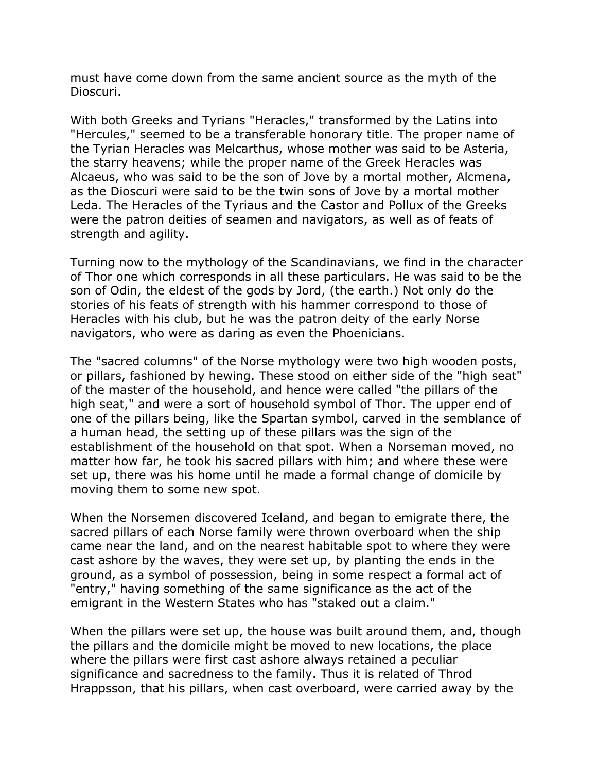must have come down from the same ancient source as the myth of the Dioscuri.

With both Greeks and Tyrians "Heracles," transformed by the Latins into "Hercules," seemed to be a transferable honorary title. The proper name of the Tyrian Heracles was Melcarthus, whose mother was said to be Asteria, the starry heavens; while the proper name of the Greek Heracles was Alcaeus, who was said to be the son of Jove by a mortal mother, Alcmena, as the Dioscuri were said to be the twin sons of Jove by a mortal mother Leda. The Heracles of the Tyriaus and the Castor and Pollux of the Greeks were the patron deities of seamen and navigators, as well as of feats of strength and agility.

Turning now to the mythology of the Scandinavians, we find in the character of Thor one which corresponds in all these particulars. He was said to be the son of Odin, the eldest of the gods by Jord, (the earth.) Not only do the stories of his feats of strength with his hammer correspond to those of Heracles with his club, but he was the patron deity of the early Norse navigators, who were as daring as even the Phoenicians.

The "sacred columns" of the Norse mythology were two high wooden posts, or pillars, fashioned by hewing. These stood on either side of the "high seat" of the master of the household, and hence were called "the pillars of the high seat," and were a sort of household symbol of Thor. The upper end of one of the pillars being, like the Spartan symbol, carved in the semblance of a human head, the setting up of these pillars was the sign of the establishment of the household on that spot. When a Norseman moved, no matter how far, he took his sacred pillars with him; and where these were set up, there was his home until he made a formal change of domicile by moving them to some new spot.

When the Norsemen discovered Iceland, and began to emigrate there, the sacred pillars of each Norse family were thrown overboard when the ship came near the land, and on the nearest habitable spot to where they were cast ashore by the waves, they were set up, by planting the ends in the ground, as a symbol of possession, being in some respect a formal act of "entry," having something of the same significance as the act of the emigrant in the Western States who has "staked out a claim."

When the pillars were set up, the house was built around them, and, though the pillars and the domicile might be moved to new locations, the place where the pillars were first cast ashore always retained a peculiar significance and sacredness to the family. Thus it is related of Throd Hrappsson, that his pillars, when cast overboard, were carried away by the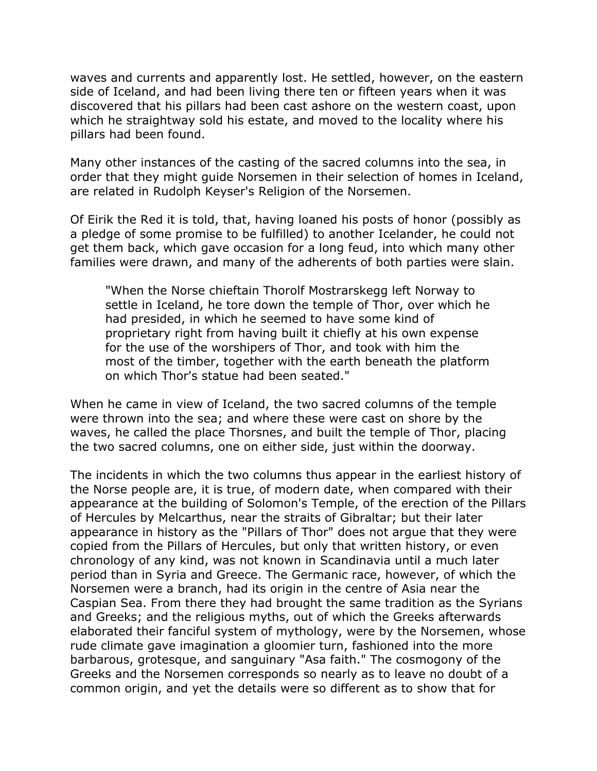waves and currents and apparently lost. He settled, however, on the eastern side of Iceland, and had been living there ten or fifteen years when it was discovered that his pillars had been cast ashore on the western coast, upon which he straightway sold his estate, and moved to the locality where his pillars had been found.

Many other instances of the casting of the sacred columns into the sea, in order that they might guide Norsemen in their selection of homes in Iceland, are related in Rudolph Keyser's Religion of the Norsemen.

Of Eirik the Red it is told, that, having loaned his posts of honor (possibly as a pledge of some promise to be fulfilled) to another Icelander, he could not get them back, which gave occasion for a long feud, into which many other families were drawn, and many of the adherents of both parties were slain.

"When the Norse chieftain Thorolf Mostrarskegg left Norway to settle in Iceland, he tore down the temple of Thor, over which he had presided, in which he seemed to have some kind of proprietary right from having built it chiefly at his own expense for the use of the worshipers of Thor, and took with him the most of the timber, together with the earth beneath the platform on which Thor's statue had been seated."

When he came in view of Iceland, the two sacred columns of the temple were thrown into the sea; and where these were cast on shore by the waves, he called the place Thorsnes, and built the temple of Thor, placing the two sacred columns, one on either side, just within the doorway.

The incidents in which the two columns thus appear in the earliest history of the Norse people are, it is true, of modern date, when compared with their appearance at the building of Solomon's Temple, of the erection of the Pillars of Hercules by Melcarthus, near the straits of Gibraltar; but their later appearance in history as the "Pillars of Thor" does not argue that they were copied from the Pillars of Hercules, but only that written history, or even chronology of any kind, was not known in Scandinavia until a much later period than in Syria and Greece. The Germanic race, however, of which the Norsemen were a branch, had its origin in the centre of Asia near the Caspian Sea. From there they had brought the same tradition as the Syrians and Greeks; and the religious myths, out of which the Greeks afterwards elaborated their fanciful system of mythology, were by the Norsemen, whose rude climate gave imagination a gloomier turn, fashioned into the more barbarous, grotesque, and sanguinary "Asa faith." The cosmogony of the Greeks and the Norsemen corresponds so nearly as to leave no doubt of a common origin, and yet the details were so different as to show that for